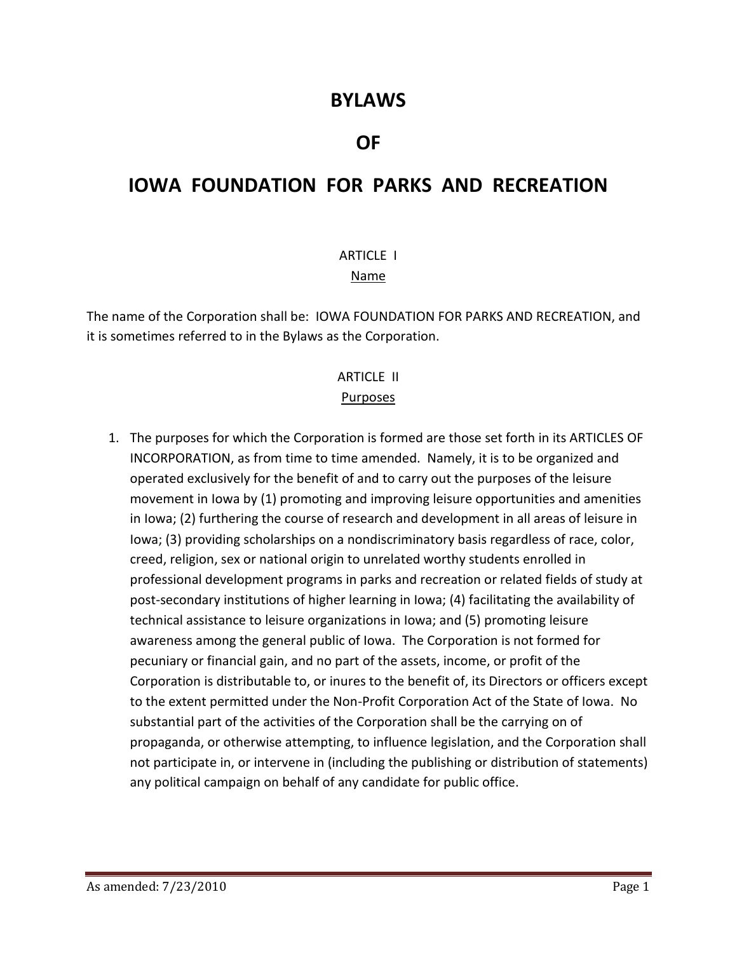## **BYLAWS**

## **OF**

## **IOWA FOUNDATION FOR PARKS AND RECREATION**

#### ARTICLE I

#### Name

The name of the Corporation shall be: IOWA FOUNDATION FOR PARKS AND RECREATION, and it is sometimes referred to in the Bylaws as the Corporation.

#### ARTICLE II Purposes

1. The purposes for which the Corporation is formed are those set forth in its ARTICLES OF INCORPORATION, as from time to time amended. Namely, it is to be organized and operated exclusively for the benefit of and to carry out the purposes of the leisure movement in Iowa by (1) promoting and improving leisure opportunities and amenities in Iowa; (2) furthering the course of research and development in all areas of leisure in Iowa; (3) providing scholarships on a nondiscriminatory basis regardless of race, color, creed, religion, sex or national origin to unrelated worthy students enrolled in professional development programs in parks and recreation or related fields of study at post-secondary institutions of higher learning in Iowa; (4) facilitating the availability of technical assistance to leisure organizations in Iowa; and (5) promoting leisure awareness among the general public of Iowa. The Corporation is not formed for pecuniary or financial gain, and no part of the assets, income, or profit of the Corporation is distributable to, or inures to the benefit of, its Directors or officers except to the extent permitted under the Non-Profit Corporation Act of the State of Iowa. No substantial part of the activities of the Corporation shall be the carrying on of propaganda, or otherwise attempting, to influence legislation, and the Corporation shall not participate in, or intervene in (including the publishing or distribution of statements) any political campaign on behalf of any candidate for public office.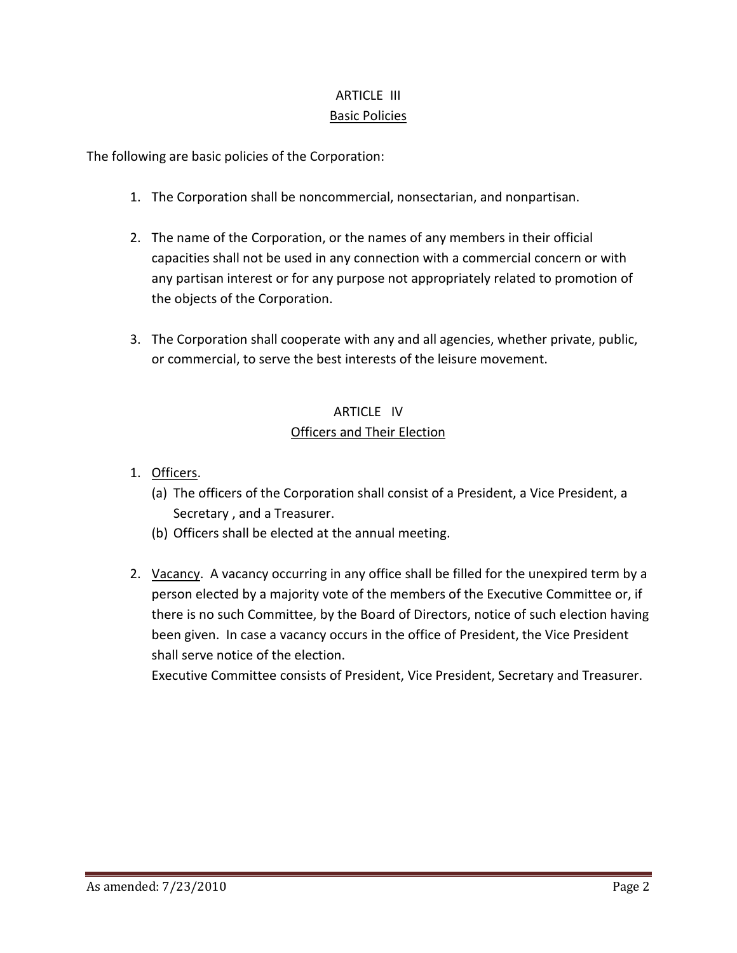## ARTICLE III Basic Policies

The following are basic policies of the Corporation:

- 1. The Corporation shall be noncommercial, nonsectarian, and nonpartisan.
- 2. The name of the Corporation, or the names of any members in their official capacities shall not be used in any connection with a commercial concern or with any partisan interest or for any purpose not appropriately related to promotion of the objects of the Corporation.
- 3. The Corporation shall cooperate with any and all agencies, whether private, public, or commercial, to serve the best interests of the leisure movement.

### ARTICLE IV Officers and Their Election

- 1. Officers.
	- (a) The officers of the Corporation shall consist of a President, a Vice President, a Secretary , and a Treasurer.
	- (b) Officers shall be elected at the annual meeting.
- 2. Vacancy. A vacancy occurring in any office shall be filled for the unexpired term by a person elected by a majority vote of the members of the Executive Committee or, if there is no such Committee, by the Board of Directors, notice of such election having been given. In case a vacancy occurs in the office of President, the Vice President shall serve notice of the election.

Executive Committee consists of President, Vice President, Secretary and Treasurer.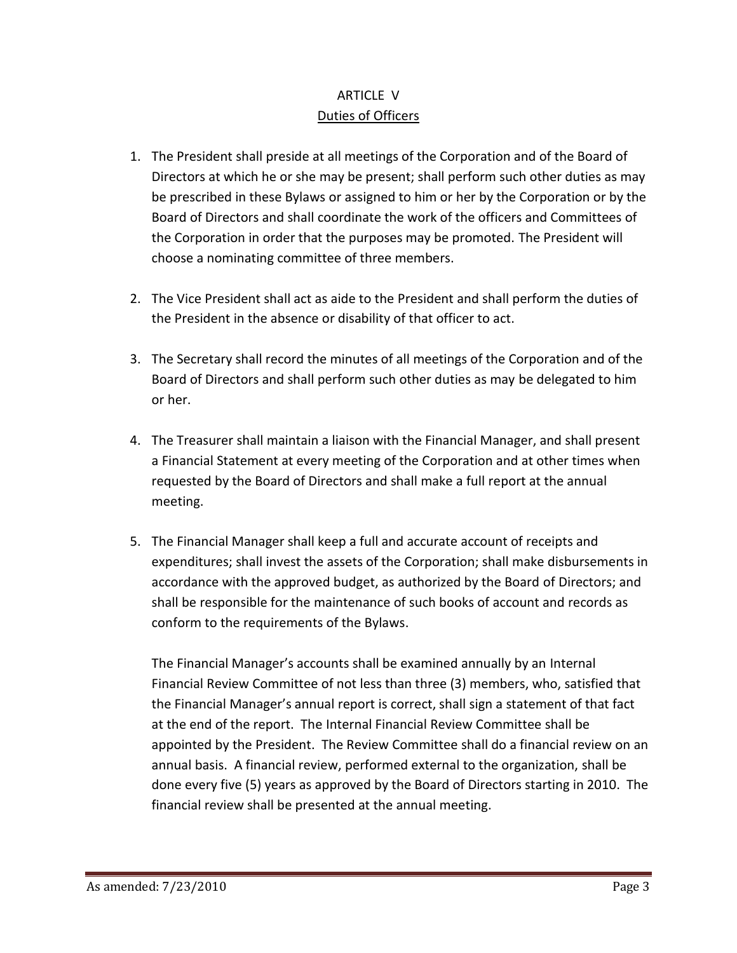## ARTICLE V Duties of Officers

- 1. The President shall preside at all meetings of the Corporation and of the Board of Directors at which he or she may be present; shall perform such other duties as may be prescribed in these Bylaws or assigned to him or her by the Corporation or by the Board of Directors and shall coordinate the work of the officers and Committees of the Corporation in order that the purposes may be promoted. The President will choose a nominating committee of three members.
- 2. The Vice President shall act as aide to the President and shall perform the duties of the President in the absence or disability of that officer to act.
- 3. The Secretary shall record the minutes of all meetings of the Corporation and of the Board of Directors and shall perform such other duties as may be delegated to him or her.
- 4. The Treasurer shall maintain a liaison with the Financial Manager, and shall present a Financial Statement at every meeting of the Corporation and at other times when requested by the Board of Directors and shall make a full report at the annual meeting.
- 5. The Financial Manager shall keep a full and accurate account of receipts and expenditures; shall invest the assets of the Corporation; shall make disbursements in accordance with the approved budget, as authorized by the Board of Directors; and shall be responsible for the maintenance of such books of account and records as conform to the requirements of the Bylaws.

The Financial Manager's accounts shall be examined annually by an Internal Financial Review Committee of not less than three (3) members, who, satisfied that the Financial Manager's annual report is correct, shall sign a statement of that fact at the end of the report. The Internal Financial Review Committee shall be appointed by the President. The Review Committee shall do a financial review on an annual basis. A financial review, performed external to the organization, shall be done every five (5) years as approved by the Board of Directors starting in 2010. The financial review shall be presented at the annual meeting.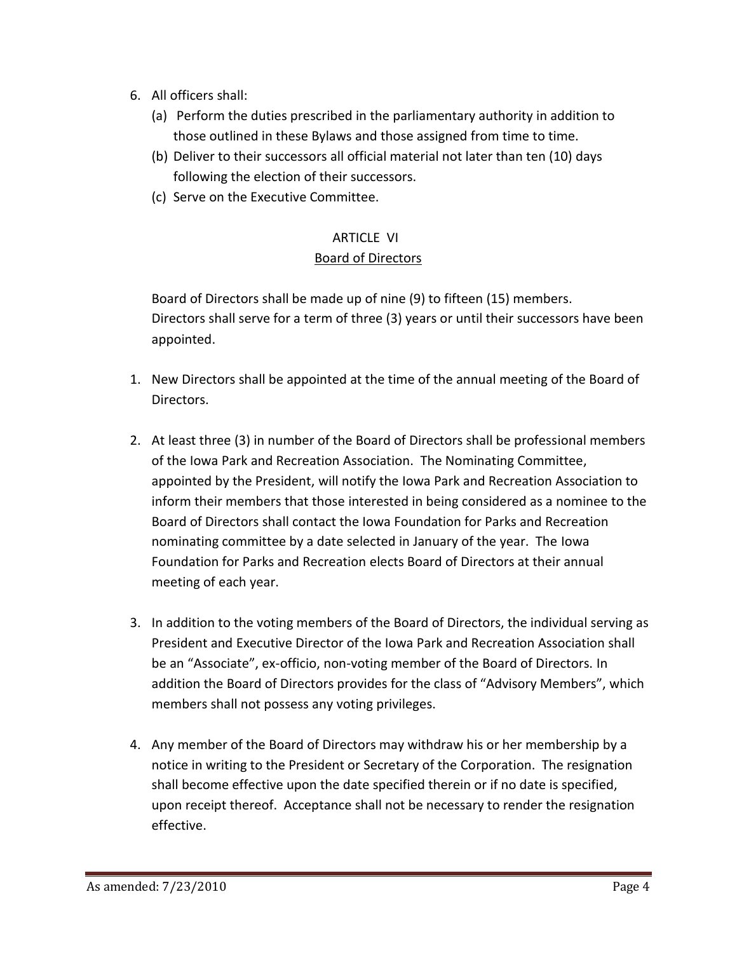- 6. All officers shall:
	- (a) Perform the duties prescribed in the parliamentary authority in addition to those outlined in these Bylaws and those assigned from time to time.
	- (b) Deliver to their successors all official material not later than ten (10) days following the election of their successors.
	- (c) Serve on the Executive Committee.

#### ARTICLE VI Board of Directors

Board of Directors shall be made up of nine (9) to fifteen (15) members. Directors shall serve for a term of three (3) years or until their successors have been appointed.

- 1. New Directors shall be appointed at the time of the annual meeting of the Board of Directors.
- 2. At least three (3) in number of the Board of Directors shall be professional members of the Iowa Park and Recreation Association. The Nominating Committee, appointed by the President, will notify the Iowa Park and Recreation Association to inform their members that those interested in being considered as a nominee to the Board of Directors shall contact the Iowa Foundation for Parks and Recreation nominating committee by a date selected in January of the year. The Iowa Foundation for Parks and Recreation elects Board of Directors at their annual meeting of each year.
- 3. In addition to the voting members of the Board of Directors, the individual serving as President and Executive Director of the Iowa Park and Recreation Association shall be an "Associate", ex-officio, non-voting member of the Board of Directors. In addition the Board of Directors provides for the class of "Advisory Members", which members shall not possess any voting privileges.
- 4. Any member of the Board of Directors may withdraw his or her membership by a notice in writing to the President or Secretary of the Corporation. The resignation shall become effective upon the date specified therein or if no date is specified, upon receipt thereof. Acceptance shall not be necessary to render the resignation effective.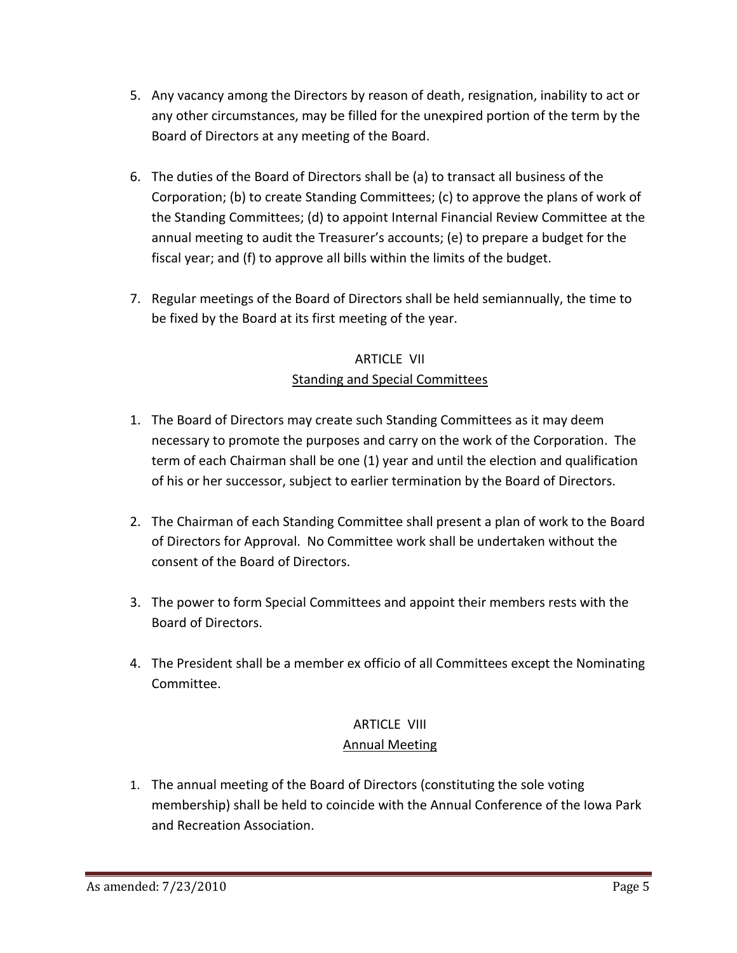- 5. Any vacancy among the Directors by reason of death, resignation, inability to act or any other circumstances, may be filled for the unexpired portion of the term by the Board of Directors at any meeting of the Board.
- 6. The duties of the Board of Directors shall be (a) to transact all business of the Corporation; (b) to create Standing Committees; (c) to approve the plans of work of the Standing Committees; (d) to appoint Internal Financial Review Committee at the annual meeting to audit the Treasurer's accounts; (e) to prepare a budget for the fiscal year; and (f) to approve all bills within the limits of the budget.
- 7. Regular meetings of the Board of Directors shall be held semiannually, the time to be fixed by the Board at its first meeting of the year.

## ARTICLE VII Standing and Special Committees

- 1. The Board of Directors may create such Standing Committees as it may deem necessary to promote the purposes and carry on the work of the Corporation. The term of each Chairman shall be one (1) year and until the election and qualification of his or her successor, subject to earlier termination by the Board of Directors.
- 2. The Chairman of each Standing Committee shall present a plan of work to the Board of Directors for Approval. No Committee work shall be undertaken without the consent of the Board of Directors.
- 3. The power to form Special Committees and appoint their members rests with the Board of Directors.
- 4. The President shall be a member ex officio of all Committees except the Nominating Committee.

# ARTICLE VIII

#### Annual Meeting

1. The annual meeting of the Board of Directors (constituting the sole voting membership) shall be held to coincide with the Annual Conference of the Iowa Park and Recreation Association.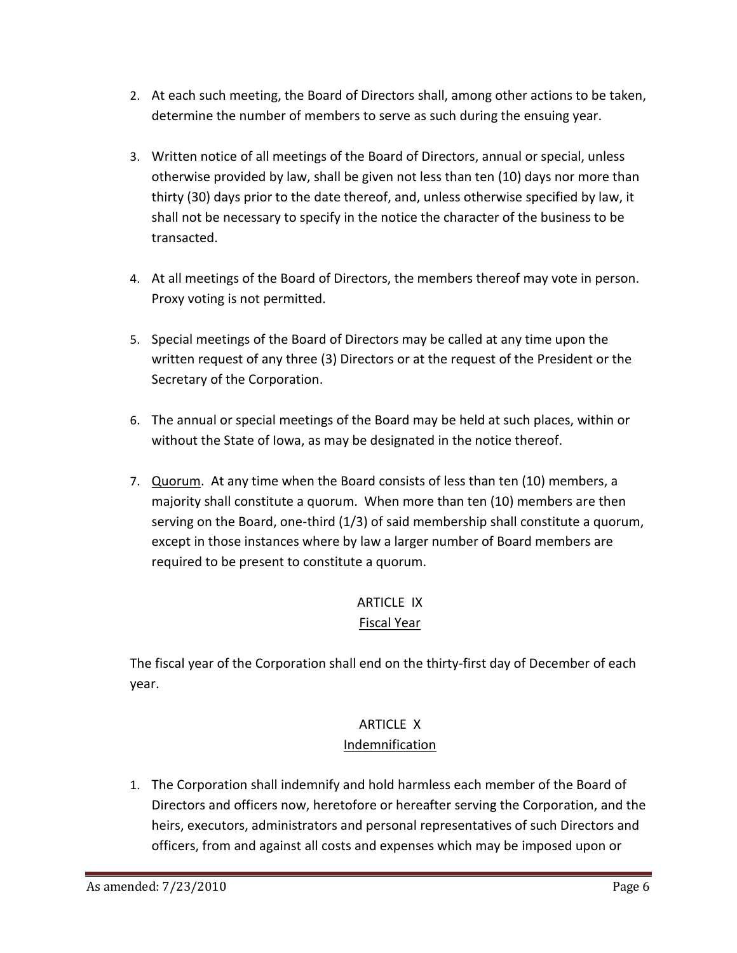- 2. At each such meeting, the Board of Directors shall, among other actions to be taken, determine the number of members to serve as such during the ensuing year.
- 3. Written notice of all meetings of the Board of Directors, annual or special, unless otherwise provided by law, shall be given not less than ten (10) days nor more than thirty (30) days prior to the date thereof, and, unless otherwise specified by law, it shall not be necessary to specify in the notice the character of the business to be transacted.
- 4. At all meetings of the Board of Directors, the members thereof may vote in person. Proxy voting is not permitted.
- 5. Special meetings of the Board of Directors may be called at any time upon the written request of any three (3) Directors or at the request of the President or the Secretary of the Corporation.
- 6. The annual or special meetings of the Board may be held at such places, within or without the State of Iowa, as may be designated in the notice thereof.
- 7. Quorum. At any time when the Board consists of less than ten (10) members, a majority shall constitute a quorum. When more than ten (10) members are then serving on the Board, one-third (1/3) of said membership shall constitute a quorum, except in those instances where by law a larger number of Board members are required to be present to constitute a quorum.

# ARTICLE IX

## Fiscal Year

The fiscal year of the Corporation shall end on the thirty-first day of December of each year.

## ARTICLE X

#### Indemnification

1. The Corporation shall indemnify and hold harmless each member of the Board of Directors and officers now, heretofore or hereafter serving the Corporation, and the heirs, executors, administrators and personal representatives of such Directors and officers, from and against all costs and expenses which may be imposed upon or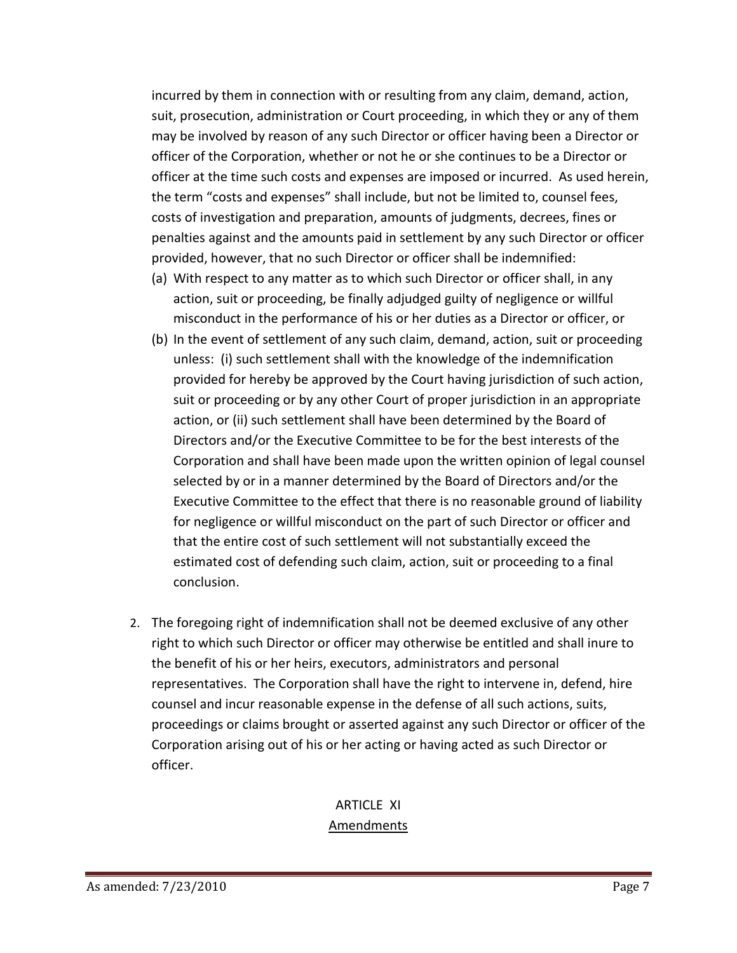incurred by them in connection with or resulting from any claim, demand, action, suit, prosecution, administration or Court proceeding, in which they or any of them may be involved by reason of any such Director or officer having been a Director or officer of the Corporation, whether or not he or she continues to be a Director or officer at the time such costs and expenses are imposed or incurred. As used herein, the term "costs and expenses" shall include, but not be limited to, counsel fees, costs of investigation and preparation, amounts of judgments, decrees, fines or penalties against and the amounts paid in settlement by any such Director or officer provided, however, that no such Director or officer shall be indemnified:

- (a) With respect to any matter as to which such Director or officer shall, in any action, suit or proceeding, be finally adjudged guilty of negligence or willful misconduct in the performance of his or her duties as a Director or officer, or
- (b) In the event of settlement of any such claim, demand, action, suit or proceeding unless: (i) such settlement shall with the knowledge of the indemnification provided for hereby be approved by the Court having jurisdiction of such action, suit or proceeding or by any other Court of proper jurisdiction in an appropriate action, or (ii) such settlement shall have been determined by the Board of Directors and/or the Executive Committee to be for the best interests of the Corporation and shall have been made upon the written opinion of legal counsel selected by or in a manner determined by the Board of Directors and/or the Executive Committee to the effect that there is no reasonable ground of liability for negligence or willful misconduct on the part of such Director or officer and that the entire cost of such settlement will not substantially exceed the estimated cost of defending such claim, action, suit or proceeding to a final conclusion.
- 2. The foregoing right of indemnification shall not be deemed exclusive of any other right to which such Director or officer may otherwise be entitled and shall inure to the benefit of his or her heirs, executors, administrators and personal representatives. The Corporation shall have the right to intervene in, defend, hire counsel and incur reasonable expense in the defense of all such actions, suits, proceedings or claims brought or asserted against any such Director or officer of the Corporation arising out of his or her acting or having acted as such Director or officer.

#### ARTICLE XI Amendments